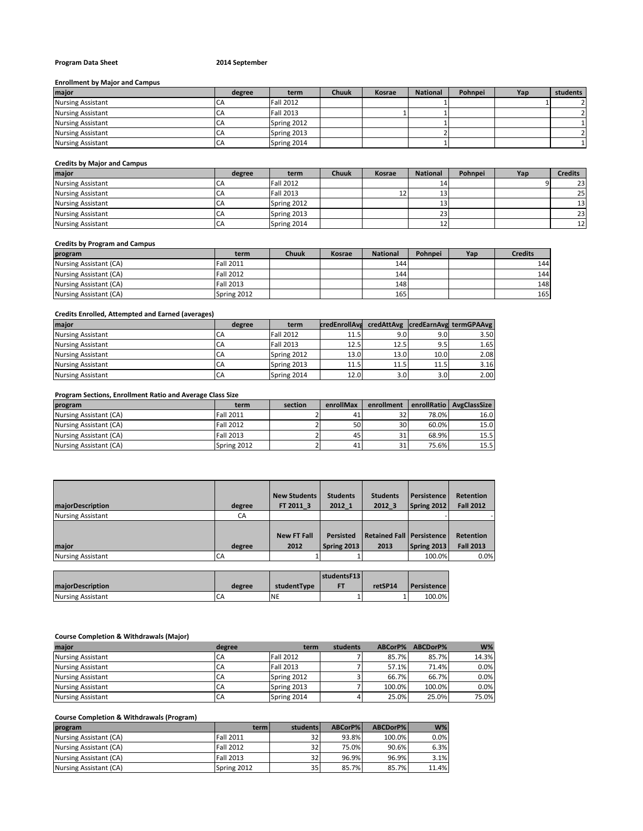# **Program Data Sheet 2014 September**

## **Enrollment by Major and Campus**

| major                    | degree | term             | Chuuk | <b>Kosrae</b> | <b>National</b> | Pohnpei | Yap | students |
|--------------------------|--------|------------------|-------|---------------|-----------------|---------|-----|----------|
| <b>Nursing Assistant</b> | ◡่     | <b>Fall 2012</b> |       |               |                 |         |     |          |
| <b>Nursing Assistant</b> |        | <b>Fall 2013</b> |       |               |                 |         |     |          |
| <b>Nursing Assistant</b> | CΑ     | Spring 2012      |       |               |                 |         |     |          |
| <b>Nursing Assistant</b> |        | Spring 2013      |       |               |                 |         |     |          |
| <b>Nursing Assistant</b> | ◡      | Spring 2014      |       |               |                 |         |     |          |

#### **Credits by Major and Campus**

| major                    | degree | term             | <b>Chuuk</b> | Kosrae | <b>National</b> | Pohnpei | Yap | <b>Credits</b>  |
|--------------------------|--------|------------------|--------------|--------|-----------------|---------|-----|-----------------|
| <b>Nursing Assistant</b> | СA     | <b>Fall 2012</b> |              |        | 14              |         |     | 23              |
| <b>Nursing Assistant</b> | CА     | <b>Fall 2013</b> |              | Ŧ₹     | ∸               |         |     | <b>25</b>       |
| <b>Nursing Assistant</b> | CA     | Spring 2012      |              |        | <b></b>         |         |     | 13 <sup>1</sup> |
| <b>Nursing Assistant</b> | CA     | Spring 2013      |              |        | 23              |         |     | 23 <sub>l</sub> |
| <b>Nursing Assistant</b> | CA     | Spring 2014      |              |        | ∸∸              |         |     | 12 <sup>1</sup> |

## **Credits by Program and Campus**

| program                | term             | Chuuk | Kosrae | <b>National</b> | Pohnpei | Yap | <b>Credits</b> |
|------------------------|------------------|-------|--------|-----------------|---------|-----|----------------|
| Nursing Assistant (CA) | <b>Fall 2011</b> |       |        | 144             |         |     | 144            |
| Nursing Assistant (CA) | <b>Fall 2012</b> |       |        | 144             |         |     | 144            |
| Nursing Assistant (CA) | <b>Fall 2013</b> |       |        | 148             |         |     | 148            |
| Nursing Assistant (CA) | Spring 2012      |       |        | 165             |         |     | 165            |

# **Credits Enrolled, Attempted and Earned (averages)**

| maior                    | degree | term             | credEnrollAve |                  |      | credAttAvg credEarnAvg termGPAAvg |
|--------------------------|--------|------------------|---------------|------------------|------|-----------------------------------|
| <b>Nursing Assistant</b> | CA     | <b>Fall 2012</b> | 11.5          | 9.01             | 9.0  | 3.50                              |
| <b>Nursing Assistant</b> | CA     | <b>Fall 2013</b> | 12.5          | 12.5             | 9.5  | 1.65                              |
| <b>Nursing Assistant</b> | CA     | Spring 2012      | 13.0          | 13.0             | 10.0 | 2.08                              |
| <b>Nursing Assistant</b> | CA     | Spring 2013      | 11.5          | 11.5             | 11.5 | 3.16                              |
| <b>Nursing Assistant</b> | CA     | Spring 2014      | 12.0          | 3.0 <sub>1</sub> | 3.0  | 2.00                              |

# **Program Sections, Enrollment Ratio and Average Class Size**

| program                | term             | section | enrollMax | enrollment      |       | enrollRatio   AvgClassSize |
|------------------------|------------------|---------|-----------|-----------------|-------|----------------------------|
| Nursing Assistant (CA) | <b>Fall 2011</b> |         |           | 32 <sub>1</sub> | 78.0% | 16.0                       |
| Nursing Assistant (CA) | <b>Fall 2012</b> |         | 50        | 30 <sup>1</sup> | 60.0% | 15.0                       |
| Nursing Assistant (CA) | <b>Fall 2013</b> |         | 45        | 31              | 68.9% | 15.5                       |
| Nursing Assistant (CA) | Spring 2012      |         | 41        | 31              | 75.6% | 15.5                       |

| majorDescription         | degree | <b>New Students</b><br>FT 2011 3 | <b>Students</b><br>2012 1       | <b>Students</b><br>2012 3           | Persistence<br>Spring 2012 | <b>Retention</b><br><b>Fall 2012</b> |
|--------------------------|--------|----------------------------------|---------------------------------|-------------------------------------|----------------------------|--------------------------------------|
| <b>Nursing Assistant</b> | CA     |                                  |                                 |                                     |                            |                                      |
| major                    | degree | <b>New FT Fall</b><br>2012       | <b>Persisted</b><br>Spring 2013 | Retained Fall   Persistence<br>2013 | Spring 2013                | <b>Retention</b><br><b>Fall 2013</b> |
| <b>Nursing Assistant</b> | CA     |                                  |                                 |                                     | 100.0%                     | 0.0%                                 |

|                          |        |             | studentsF13 |         |             |
|--------------------------|--------|-------------|-------------|---------|-------------|
| <b>maiorDescription</b>  | degree | studentType |             | retSP14 | Persistence |
| <b>Nursing Assistant</b> | CΑ     | <b>NE</b>   |             |         | 100.0%      |

#### **Course Completion & Withdrawals (Major)**

| maior                    | degree    | term             | students | ABCorP% | ABCDorP% | $W\%$ |
|--------------------------|-----------|------------------|----------|---------|----------|-------|
| <b>Nursing Assistant</b> | CA        | <b>Fall 2012</b> |          | 85.7%   | 85.7%    | 14.3% |
| <b>Nursing Assistant</b> | CA        | <b>Fall 2013</b> |          | 57.1%   | 71.4%    | 0.0%  |
| <b>Nursing Assistant</b> | <b>CA</b> | Spring 2012      |          | 66.7%   | 66.7%    | 0.0%  |
| <b>Nursing Assistant</b> | <b>CA</b> | Spring 2013      |          | 100.0%  | 100.0%   | 0.0%  |
| <b>Nursing Assistant</b> | CA        | Spring 2014      |          | 25.0%   | 25.0%    | 75.0% |

## **Course Completion & Withdrawals (Program)**

| program                | term             | students        | ABCorP% | ABCDorP% | $W\%$ |
|------------------------|------------------|-----------------|---------|----------|-------|
| Nursing Assistant (CA) | <b>Fall 2011</b> | 32 <sub>1</sub> | 93.8%   | 100.0%   | 0.0%  |
| Nursing Assistant (CA) | <b>Fall 2012</b> | 32 <sub>l</sub> | 75.0%   | 90.6%    | 6.3%  |
| Nursing Assistant (CA) | <b>Fall 2013</b> | 32 <sub>l</sub> | 96.9%   | 96.9%    | 3.1%  |
| Nursing Assistant (CA) | Spring 2012      | 35 <sub>1</sub> | 85.7%   | 85.7%    | 11.4% |